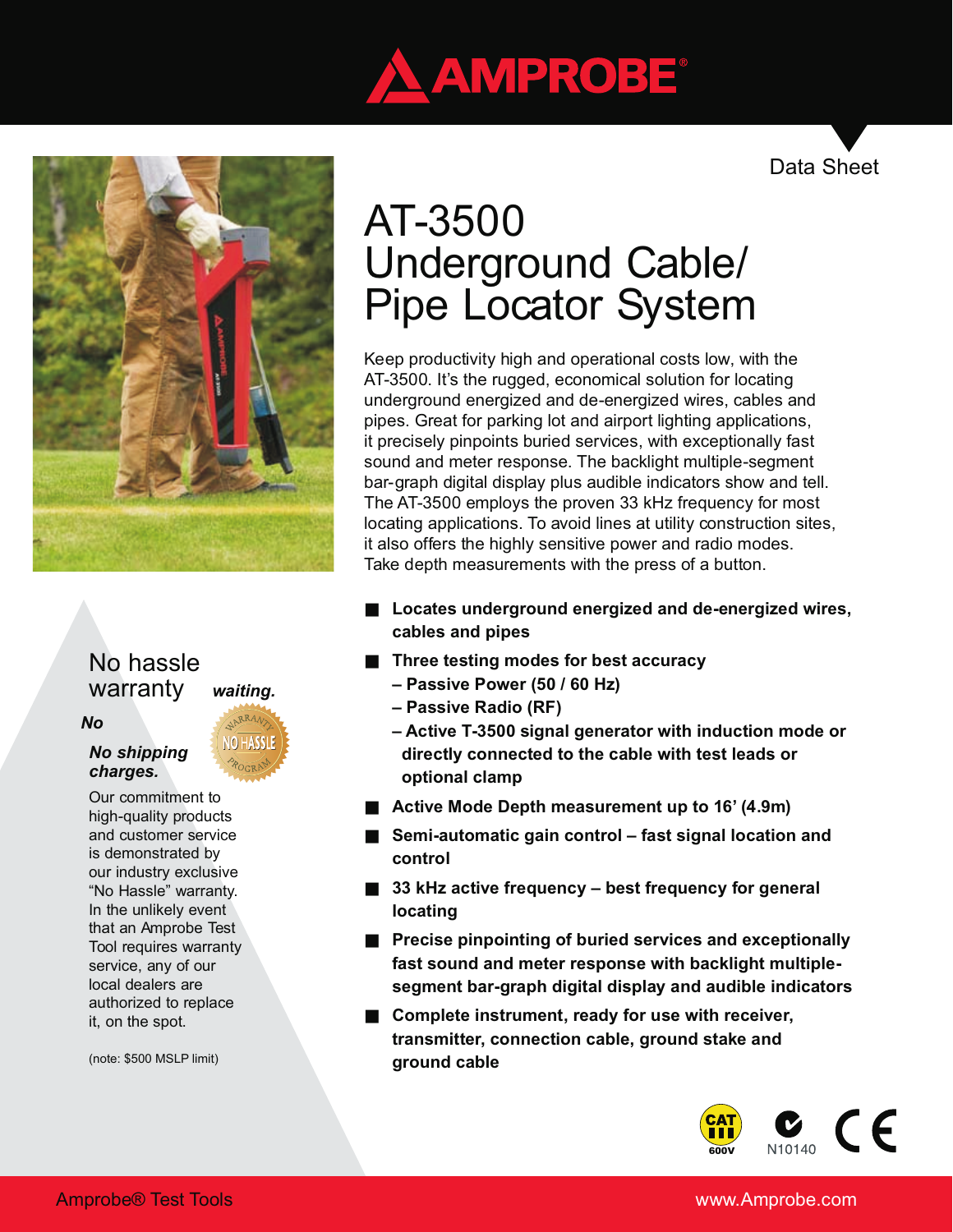

Data Sheet



# No hassle warranty *waiting.*

# *No*

### *No shipping charges.*

Our commitment to high-quality products and customer service is demonstrated by our industry exclusive "No Hassle" warranty. In the unlikely event that an Amprobe Test Tool requires warranty service, any of our local dealers are authorized to replace it, on the spot.

(note: \$500 MSLP limit)

# AT-3500 Underground Cable/ Pipe Locator System

Keep productivity high and operational costs low, with the AT-3500. It's the rugged, economical solution for locating underground energized and de-energized wires, cables and pipes. Great for parking lot and airport lighting applications, it precisely pinpoints buried services, with exceptionally fast sound and meter response. The backlight multiple-segment bar-graph digital display plus audible indicators show and tell. The AT-3500 employs the proven 33 kHz frequency for most locating applications. To avoid lines at utility construction sites, it also offers the highly sensitive power and radio modes. Take depth measurements with the press of a button.

# **Locates underground energized and de-energized wires, cables and pipes**

## **Three testing modes for best accuracy**

- **Passive Power (50 / 60 Hz)**
- **Passive Radio (RF)**
- **Active T-3500 signal generator with induction mode or directly connected to the cable with test leads or optional clamp**

**Active Mode Depth measurement up to 16' (4.9m)**

**Semi-automatic gain control – fast signal location and control**

**33 kHz active frequency – best frequency for general locating**

**Precise pinpointing of buried services and exceptionally fast sound and meter response with backlight multiplesegment bar-graph digital display and audible indicators**

**Complete instrument, ready for use with receiver, transmitter, connection cable, ground stake and ground cable**



## www.Amprobe.com